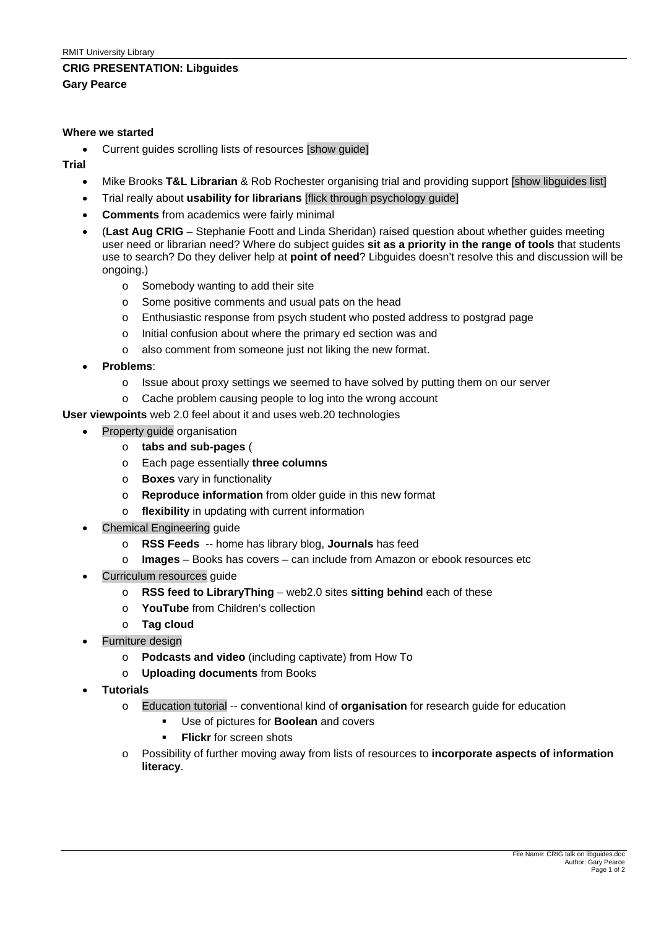## **CRIG PRESENTATION: Libguides**

**Gary Pearce** 

#### **Where we started**

• Current guides scrolling lists of resources [show guide]

### **Trial**

- Mike Brooks **T&L Librarian** & Rob Rochester organising trial and providing support [show libguides list]
- Trial really about **usability for librarians** [flick through psychology guide]
- **Comments** from academics were fairly minimal
- (**Last Aug CRIG** Stephanie Foott and Linda Sheridan) raised question about whether guides meeting user need or librarian need? Where do subject guides **sit as a priority in the range of tools** that students use to search? Do they deliver help at **point of need**? Libguides doesn't resolve this and discussion will be ongoing.)
	- o Somebody wanting to add their site
	- o Some positive comments and usual pats on the head
	- o Enthusiastic response from psych student who posted address to postgrad page
	- o Initial confusion about where the primary ed section was and
	- o also comment from someone just not liking the new format.
- **Problems**:
	- o Issue about proxy settings we seemed to have solved by putting them on our server
	- o Cache problem causing people to log into the wrong account

**User viewpoints** web 2.0 feel about it and uses web.20 technologies

- Property guide organisation
	- o **tabs and sub-pages** (
	- o Each page essentially **three columns**
	- o **Boxes** vary in functionality
	- o **Reproduce information** from older guide in this new format
	- o **flexibility** in updating with current information
- Chemical Engineering quide
	- o **RSS Feeds** -- home has library blog, **Journals** has feed
	- o **Images** Books has covers can include from Amazon or ebook resources etc
- Curriculum resources quide
	- o **RSS feed to LibraryThing** web2.0 sites **sitting behind** each of these
	- o **YouTube** from Children's collection
	- o **Tag cloud**
- Furniture design
	- o **Podcasts and video** (including captivate) from How To
	- o **Uploading documents** from Books
- **Tutorials** 
	- o Education tutorial -- conventional kind of **organisation** for research guide for education
		- Use of pictures for **Boolean** and covers
		- **Flickr** for screen shots
	- o Possibility of further moving away from lists of resources to **incorporate aspects of information literacy**.